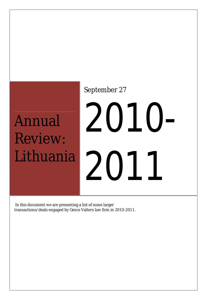## Annual Review: Lithuania

### September 27

# 2010- 2011

In this document we are presenting a list of some larger transactions/deals engaged by Gencs Valters law firm in 2010-2011.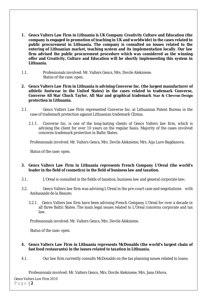- **1. Gencs Valters Law Firm in Lithuania is UK Company Creativity Culture and Education (the company is engaged in promotion of teaching in UK and worldwide) in the cases related to public procurement in Lithuania. The company is consulted on issues related to the entering of Lithuanian market, teaching system and its implementation locally. Our law firm advised the public procurement procedure which was considered as the winning offer and Creativity, Culture and Education will be shortly implementing this system in Lithuania.**
- 1.1. Professionals involved: Mr. Valters Gencs, Mrs. Dovile Alekniene. Status of the case: open.
- **2. Gencs Valters Law Firm in Lithuania is advising Converse Inc. (the largest manufacturer of athletic footwear in the United States) in the cases related to trademark Converse, Converse All Star Chuck Taylor, All Star and graphical trademark Star & Chevron Design protection in Lithuania.**
- 2.1. Gencs Valters Law Firm represented Converse Inc. at Lithuanian Patent Bureau in the case of trademark protection against Lithuanian trademark Clintas.
	- 2.1.1. Converse Inc. is one of the long-lasting clients of Gencs Valters law firm, which is advising the client for over 10 years on the regular basis. Majority of the cases involved concerns trademark protection in Baltic States.

Professionals involved: Mr. Valters Gencs, Mrs. Dovile Alekniene; Mrs. Aija Lure-Bagdanova.

Status of the case: open.

#### **3. Gencs Valters Law Firm in Lithuania represents French Company L'Oreal (the world's leader in the field of cosmetics) in the field of business law and taxation.**

- 3.1. L'Oreal is consulted in the fields of taxation, business law and general corporate law;
- 3.2. Gencs Valters law firm was advising L'Oreal in the pre-court case and negotiations with Ambassade de la Beaute;
	- 3.2.1. Gencs Valters law firm have been advising French Company L'Oreal for over a decade in all three Baltic States. The main legal issues related to L'Oreal concerns corporate and tax law.

Professionals involved: Mr. Valters Gencs, Mrs. Dovile Alekniene.

Status of the case: open.

#### **4. Gencs Valters Law Firm in Lithuania represents McDonalds (the world's largest chain of fast food restaurants) in the issues related to taxation in Lithuania.**

4.1. Our law firm currently consults McDonalds on the tax planning issues related to loans;

Professionals involved: Mr. Valters Gencs, Mrs. Dovile Alekniene, Mrs. Jana Orlova.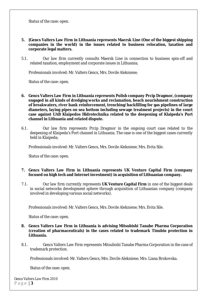Status of the case: open.

- **5. [Gencs Valters Law Firm in Lithuania represents Maersk Line (One of the biggest shipping companies in the world) in the issues related to business relocation, taxation and corporate legal matters.**
- 5.1. Our law firm currently consults Maersk Line in connection to business spin-off and related taxation, employment and corporate issues in Lithuania;

Professionals involved: Mr. Valters Gencs, Mrs. Dovile Alekniene;

Status of the case: open.

- **6. Gencs Valters Law Firm in Lithuania represents Polish company Prcip Dragmor, (company engaged in all kinds of dredging works and reclamation, beach nourishment construction of breakwaters, river bank reinforcement, trenching/backfilling for gas pipelines of large diameters, laying pipes on sea bottom including sewage treatment projects) in the court case against UAB Klaipedos Hidrotechnika related to the deepening of Klaipeda's Port channel in Lithuania and related dispute.**
- 6.1. Our law firm represents Prcip Dragmor in the ongoing court case related to the deepening of Klaipeda's Port channel in Lithuania. The case is one of the biggest cases currently held in Klaipeda;

Professionals involved: Mr. Valters Gencs, Mrs. Dovile Alekniene; Mrs. Evita Sile.

Status of the case: open.

- **7. Gencs Valters Law Firm in Lithuania represents UK Venture Capital Firm (company focused on high tech and Internet investment) in acquisition of Lithuanian company.**
- 7.1. Our law firm currently represents **UK Venture Capital Firm** in one of the biggest deals in social networks development sphere through acquisition of Lithuanian company (company involved in developing various social networks).

Professionals involved: Mr. Valters Gencs, Mrs. Dovile Alekniene; Mrs. Evita Sile.

Status of the case: open.

- **8. Gencs Valters Law Firm in Lithuania is advising Mitsubishi Tanabe Pharma Corporation (creation of pharmaceuticals) in the cases related to trademark Tinubin protection in Lithuania.**
- 8.1. Gencs Valters Law Firm represents Mitsubishi Tanabe Pharma Corporation in the case of trademark protection.

Professionals involved: Mr. Valters Gencs, Mrs. Dovile Alekniene; Mrs. Liana Brokovska.

Status of the case: open.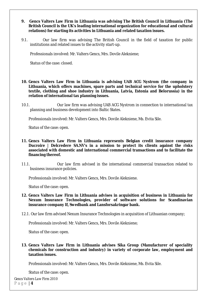- **9. Gencs Valters Law Firm in Lithuania was advising The British Council in Lithuania (The British Council is the UK's leading international organization for educational and cultural relations) for starting its activities in Lithuania and related taxation issues.**
- 9.1. Our law firm was advising The British Council in the field of taxation for public institutions and related issues to the activity start-up.

Professionals involved: Mr. Valters Gencs, Mrs. Dovile Alekniene;

Status of the case: closed.

- **10. Gencs Valters Law Firm in Lithuania is advising UAB ACG Nystrom (the company in Lithuania, which offers machines, spare parts and technical service for the upholstery textile, clothing and shoe industry in Lithuania, Latvia, Estonia and Belorussia) in the relation of international tax planning issues.**
- 10.1. Our law firm was advising UAB ACG Nystrom in connection to international tax planning and business development into Baltic States.

Professionals involved: Mr. Valters Gencs, Mrs. Dovile Alekniene, Ms. Evita Sile.

Status of the case: open.

- **11. Gencs Valters Law Firm in Lithuania represents Belgian credit insurance company Ducroire | Delcredere SA.NV's in a mission to protect its clients against the risks associated with domestic and international commercial transactions and to facilitate the financing thereof.**
- 11.1. Our law firm advised in the international commercial transaction related to business insurance policies.

Professionals involved: Mr. Valters Gencs, Mrs. Dovile Alekniene.

Status of the case: open.

- **12. Gencs Valters Law Firm in Lithuania advises in acquisition of business in Lithuania for Nexum Insurance Technologies, provider of software solutions for Scandinavian insurance company If, Swedbank and Lansforsakringar bank.**
- 12.1. Our law firm advised Nexum Insurance Technologies in acquisition of Lithuanian company;

Professionals involved: Mr. Valters Gencs, Mrs. Dovile Alekniene;

Status of the case: open.

**13. Gencs Valters Law Firm in Lithuania advises Sika Group (Manufacturer of speciality chemicals for construction and industry) in variety of corporate law, employment and taxation issues.**

Professionals involved: Mr. Valters Gencs, Mrs. Dovile Alekniene, Ms. Evita Sile.

Status of the case: open.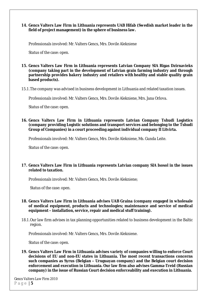#### **14. Gencs Valters Law Firm in Lithuania represents UAB Hifab (Swedish market leader in the field of project management) in the sphere of business law.**

Professionals involved: Mr. Valters Gencs, Mrs. Dovile Alekniene

Status of the case: open.

#### **15. Gencs Valters Law Firm in Lithuania represents Latvian Company SIA Rigas Dzirnavieks (company taking part in the development of Latvian grain farming industry and through partnership provides bakery industry and retailers with healthy and stable quality grain based products).**

15.1.The company was advised in business development in Lithuania and related taxation issues.

Professionals involved: Mr. Valters Gencs, Mrs. Dovile Alekniene, Mrs. Jana Orlova.

Status of the case: open.

#### **16. Gencs Valters Law Firm in Lithuania represents Latvian Company Tshudi Logistics (company providing Logistic solutions and transport services and belonging to the Tshudi Group of Companies) in a court proceeding against individual company II Litvirta.**

Professionals involved: Mr. Valters Gencs, Mrs. Dovile Alekniene, Ms. Gunda Leite.

Status of the case: open.

#### **17. Gencs Valters Law Firm in Lithuania represents Latvian company SIA Isosol in the issues related to taxation.**

Professionals involved: Mr. Valters Gencs, Mrs. Dovile Alekniene;

Status of the case: open.

- **18. Gencs Valters Law Firm in Lithuania advises UAB Graina (company engaged in wholesale of medical equipment, products and technologies; maintenance and service of medical equipment – installation, service, repair and medical stuff training).**
- 18.1.Our law firm advises in tax planning opportunities related to business development in the Baltic region.

Professionals involved: Mr. Valters Gencs, Mrs. Dovile Alekniene.

Status of the case: open.

**19. Gencs Valters Law Firm in Lithuania advises variety of companies willing to enforce Court decisions of EU and non-EU states in Lithuania. The most recent transactions concerns such companies as Syrus (Belgian – Uruguayan company) and the Belgian court decision enforcement and execution in Lithuania. Our law firm also advises Gamma-Treid (Russian company) in the issue of Russian Court decision enforceability and execution in Lithuania.**